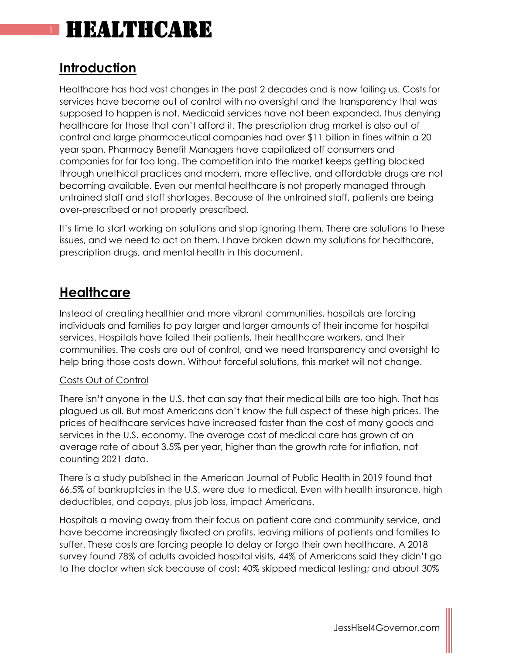### **Introduction**

Healthcare has had vast changes in the past 2 decades and is now failing us. Costs for services have become out of control with no oversight and the transparency that was supposed to happen is not. Medicaid services have not been expanded, thus denying healthcare for those that can't afford it. The prescription drug market is also out of control and large pharmaceutical companies had over \$11 billion in fines within a 20 year span. Pharmacy Benefit Managers have capitalized off consumers and companies for far too long. The competition into the market keeps getting blocked through unethical practices and modern, more effective, and affordable drugs are not becoming available. Even our mental healthcare is not properly managed through untrained staff and staff shortages. Because of the untrained staff, patients are being over-prescribed or not properly prescribed.

It's time to start working on solutions and stop ignoring them. There are solutions to these issues, and we need to act on them. I have broken down my solutions for healthcare, prescription drugs, and mental health in this document.

### **Healthcare**

Instead of creating healthier and more vibrant communities, hospitals are forcing individuals and families to pay larger and larger amounts of their income for hospital services. Hospitals have failed their patients, their healthcare workers, and their communities. The costs are out of control, and we need transparency and oversight to help bring those costs down. Without forceful solutions, this market will not change.

### Costs Out of Control

There isn't anyone in the U.S. that can say that their medical bills are too high. That has plagued us all. But most Americans don't know the full aspect of these high prices. The prices of healthcare services have increased faster than the cost of many goods and services in the U.S. economy. The average cost of medical care has grown at an average rate of about 3.5% per year, higher than the growth rate for inflation, not counting 2021 data.

There is a study published in the American Journal of Public Health in 2019 found that 66.5% of bankruptcies in the U.S. were due to medical. Even with health insurance, high deductibles, and copays, plus job loss, impact Americans.

Hospitals a moving away from their focus on patient care and community service, and have become increasingly fixated on profits, leaving millions of patients and families to suffer. These costs are forcing people to delay or forgo their own healthcare. A 2018 survey found 78% of adults avoided hospital visits, 44% of Americans said they didn't go to the doctor when sick because of cost; 40% skipped medical testing; and about 30%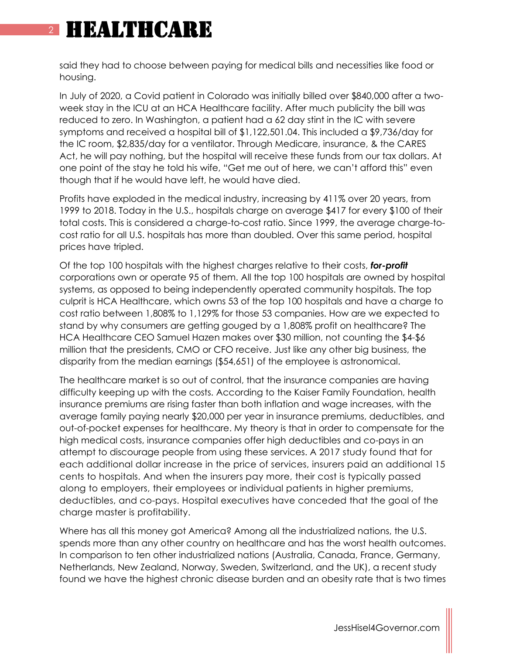# **HEALTHCARE**

said they had to choose between paying for medical bills and necessities like food or housing.

In July of 2020, a Covid patient in Colorado was initially billed over \$840,000 after a twoweek stay in the ICU at an HCA Healthcare facility. After much publicity the bill was reduced to zero. In Washington, a patient had a 62 day stint in the IC with severe symptoms and received a hospital bill of \$1,122,501.04. This included a \$9,736/day for the IC room, \$2,835/day for a ventilator. Through Medicare, insurance, & the CARES Act, he will pay nothing, but the hospital will receive these funds from our tax dollars. At one point of the stay he told his wife, "Get me out of here, we can't afford this" even though that if he would have left, he would have died.

Profits have exploded in the medical industry, increasing by 411% over 20 years, from 1999 to 2018. Today in the U.S., hospitals charge on average \$417 for every \$100 of their total costs. This is considered a charge-to-cost ratio. Since 1999, the average charge-tocost ratio for all U.S. hospitals has more than doubled. Over this same period, hospital prices have tripled.

Of the top 100 hospitals with the highest charges relative to their costs, *for-profit* corporations own or operate 95 of them. All the top 100 hospitals are owned by hospital systems, as opposed to being independently operated community hospitals. The top culprit is HCA Healthcare, which owns 53 of the top 100 hospitals and have a charge to cost ratio between 1,808% to 1,129% for those 53 companies. How are we expected to stand by why consumers are getting gouged by a 1,808% profit on healthcare? The HCA Healthcare CEO Samuel Hazen makes over \$30 million, not counting the \$4-\$6 million that the presidents, CMO or CFO receive. Just like any other big business, the disparity from the median earnings (\$54,651) of the employee is astronomical.

The healthcare market is so out of control, that the insurance companies are having difficulty keeping up with the costs. According to the Kaiser Family Foundation, health insurance premiums are rising faster than both inflation and wage increases, with the average family paying nearly \$20,000 per year in insurance premiums, deductibles, and out-of-pocket expenses for healthcare. My theory is that in order to compensate for the high medical costs, insurance companies offer high deductibles and co-pays in an attempt to discourage people from using these services. A 2017 study found that for each additional dollar increase in the price of services, insurers paid an additional 15 cents to hospitals. And when the insurers pay more, their cost is typically passed along to employers, their employees or individual patients in higher premiums, deductibles, and co-pays. Hospital executives have conceded that the goal of the charge master is profitability.

Where has all this money got America? Among all the industrialized nations, the U.S. spends more than any other country on healthcare and has the worst health outcomes. In comparison to ten other industrialized nations (Australia, Canada, France, Germany, Netherlands, New Zealand, Norway, Sweden, Switzerland, and the UK), a recent study found we have the highest chronic disease burden and an obesity rate that is two times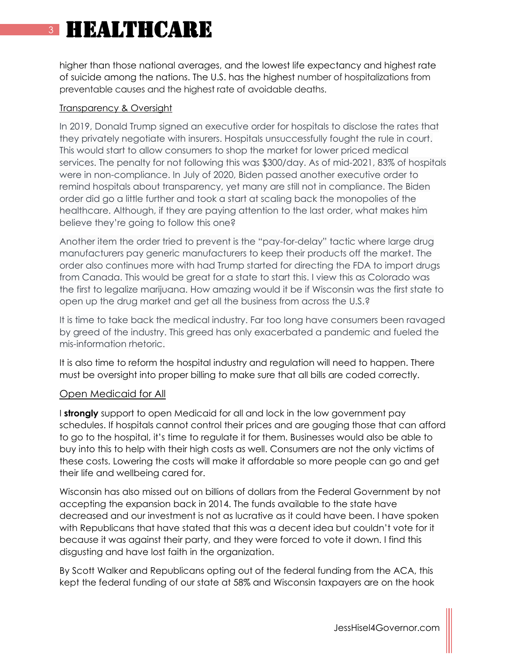higher than those national averages, and the lowest life expectancy and highest rate of suicide among the nations. The U.S. has the highest number of hospitalizations from preventable causes and the highest rate of avoidable deaths.

#### Transparency & Oversight

In 2019, Donald Trump signed an executive order for hospitals to disclose the rates that they privately negotiate with insurers. Hospitals unsuccessfully fought the rule in court. This would start to allow consumers to shop the market for lower priced medical services. The penalty for not following this was \$300/day. As of mid-2021, 83% of hospitals were in non-compliance. In July of 2020, Biden passed another executive order to remind hospitals about transparency, yet many are still not in compliance. The Biden order did go a little further and took a start at scaling back the monopolies of the healthcare. Although, if they are paying attention to the last order, what makes him believe they're going to follow this one?

Another item the order tried to prevent is the "pay-for-delay" tactic where large drug manufacturers pay generic manufacturers to keep their products off the market. The order also continues more with had Trump started for directing the FDA to import drugs from Canada. This would be great for a state to start this. I view this as Colorado was the first to legalize marijuana. How amazing would it be if Wisconsin was the first state to open up the drug market and get all the business from across the U.S.?

It is time to take back the medical industry. Far too long have consumers been ravaged by greed of the industry. This greed has only exacerbated a pandemic and fueled the mis-information rhetoric.

It is also time to reform the hospital industry and regulation will need to happen. There must be oversight into proper billing to make sure that all bills are coded correctly.

#### Open Medicaid for All

I **strongly** support to open Medicaid for all and lock in the low government pay schedules. If hospitals cannot control their prices and are gouging those that can afford to go to the hospital, it's time to regulate it for them. Businesses would also be able to buy into this to help with their high costs as well. Consumers are not the only victims of these costs. Lowering the costs will make it affordable so more people can go and get their life and wellbeing cared for.

Wisconsin has also missed out on billions of dollars from the Federal Government by not accepting the expansion back in 2014. The funds available to the state have decreased and our investment is not as lucrative as it could have been. I have spoken with Republicans that have stated that this was a decent idea but couldn't vote for it because it was against their party, and they were forced to vote it down. I find this disgusting and have lost faith in the organization.

By Scott Walker and Republicans opting out of the federal funding from the ACA, this kept the federal funding of our state at 58% and Wisconsin taxpayers are on the hook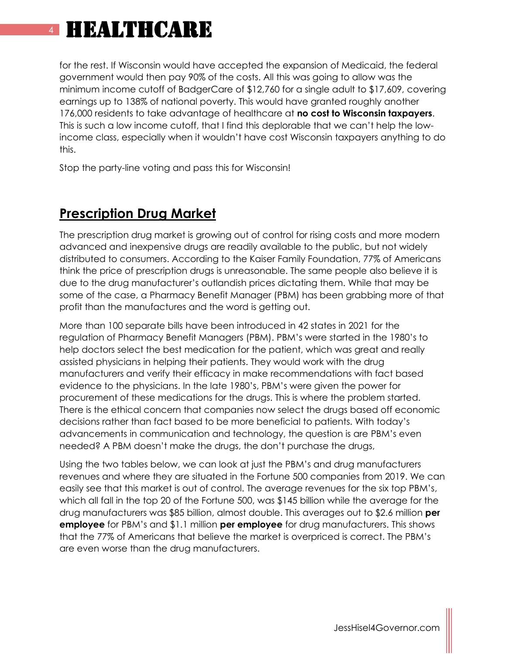for the rest. If Wisconsin would have accepted the expansion of Medicaid, the federal government would then pay 90% of the costs. All this was going to allow was the minimum income cutoff of BadgerCare of \$12,760 for a single adult to \$17,609, covering earnings up to 138% of national poverty. This would have granted roughly another 176,000 residents to take advantage of healthcare at **no cost to Wisconsin taxpayers**. This is such a low income cutoff, that I find this deplorable that we can't help the lowincome class, especially when it wouldn't have cost Wisconsin taxpayers anything to do this.

Stop the party-line voting and pass this for Wisconsin!

### **Prescription Drug Market**

The prescription drug market is growing out of control for rising costs and more modern advanced and inexpensive drugs are readily available to the public, but not widely distributed to consumers. According to the Kaiser Family Foundation, 77% of Americans think the price of prescription drugs is unreasonable. The same people also believe it is due to the drug manufacturer's outlandish prices dictating them. While that may be some of the case, a Pharmacy Benefit Manager (PBM) has been grabbing more of that profit than the manufactures and the word is getting out.

More than 100 separate bills have been introduced in 42 states in 2021 for the regulation of Pharmacy Benefit Managers (PBM). PBM's were started in the 1980's to help doctors select the best medication for the patient, which was great and really assisted physicians in helping their patients. They would work with the drug manufacturers and verify their efficacy in make recommendations with fact based evidence to the physicians. In the late 1980's, PBM's were given the power for procurement of these medications for the drugs. This is where the problem started. There is the ethical concern that companies now select the drugs based off economic decisions rather than fact based to be more beneficial to patients. With today's advancements in communication and technology, the question is are PBM's even needed? A PBM doesn't make the drugs, the don't purchase the drugs,

Using the two tables below, we can look at just the PBM's and drug manufacturers revenues and where they are situated in the Fortune 500 companies from 2019. We can easily see that this market is out of control. The average revenues for the six top PBM's, which all fall in the top 20 of the Fortune 500, was \$145 billion while the average for the drug manufacturers was \$85 billion, almost double. This averages out to \$2.6 million **per employee** for PBM's and \$1.1 million **per employee** for drug manufacturers. This shows that the 77% of Americans that believe the market is overpriced is correct. The PBM's are even worse than the drug manufacturers.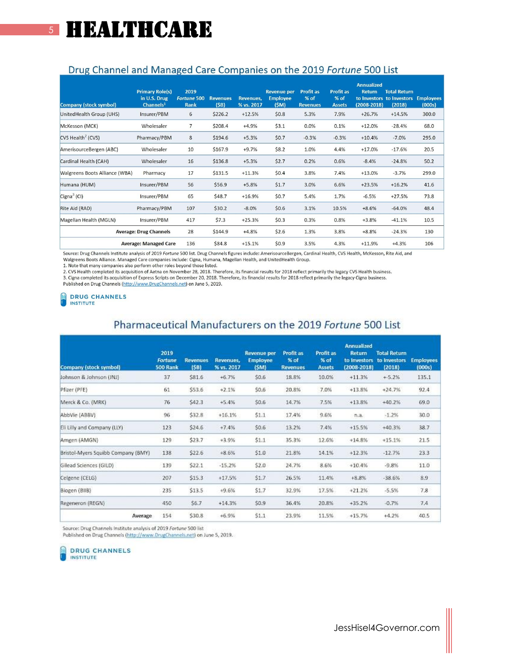### Drug Channel and Managed Care Companies on the 2019 Fortune 500 List

| <b>Company (stock symbol)</b>       | <b>Primary Role(s)</b><br>in U.S. Drug<br>Channels <sup>1</sup> | 2019<br><b>Fortune 500</b><br><b>Rank</b> | <b>Revenues</b><br>(SB) | <b>Revenues.</b><br>% vs. 2017 | <b>Revenue per</b><br><b>Employee</b><br>(SM) | <b>Profit as</b><br>% of<br><b>Revenues</b> | <b>Profit as</b><br>% of<br><b>Assets</b> | <b>Annualized</b><br><b>Return</b><br>$(2008 - 2018)$ | <b>Total Return</b><br>to Investors to Investors<br>(2018) | <b>Employees</b><br>(000s) |
|-------------------------------------|-----------------------------------------------------------------|-------------------------------------------|-------------------------|--------------------------------|-----------------------------------------------|---------------------------------------------|-------------------------------------------|-------------------------------------------------------|------------------------------------------------------------|----------------------------|
| UnitedHealth Group (UHS)            | Insurer/PBM                                                     | 6                                         | \$226.2                 | $+12.5%$                       | \$0.8                                         | 5.3%                                        | 7.9%                                      | $+26.7%$                                              | $+14.5%$                                                   | 300.0                      |
| McKesson (MCK)                      | Wholesaler                                                      | $\overline{7}$                            | \$208.4                 | $+4.9%$                        | \$3.1                                         | 0.0%                                        | 0.1%                                      | $+12.0%$                                              | $-28.4%$                                                   | 68.0                       |
| CVS Health <sup>2</sup> (CVS)       | Pharmacy/PBM                                                    | 8                                         | \$194.6                 | $+5.3%$                        | \$0.7                                         | $-0.3%$                                     | $-0.3%$                                   | $+10.4%$                                              | $-7.0%$                                                    | 295.0                      |
| AmerisourceBergen (ABC)             | Wholesaler                                                      | 10                                        | \$167.9                 | $+9.7%$                        | \$8.2                                         | 1.0%                                        | 4.4%                                      | $+17.0%$                                              | $-17.6%$                                                   | 20.5                       |
| Cardinal Health (CAH)               | Wholesaler                                                      | 16                                        | \$136.8                 | $+5.3%$                        | \$2.7                                         | 0.2%                                        | 0.6%                                      | $-8.4%$                                               | $-24.8%$                                                   | 50.2                       |
| Walgreens Boots Alliance (WBA)      | Pharmacy                                                        | 17                                        | \$131.5                 | $+11.3%$                       | \$0.4                                         | 3.8%                                        | 7.4%                                      | $+13.0%$                                              | $-3.7%$                                                    | 299.0                      |
| Humana (HUM)                        | Insurer/PBM                                                     | 56                                        | \$56.9                  | $+5.8%$                        | \$1.7                                         | 3.0%                                        | 6.6%                                      | $+23.5%$                                              | $+16.2%$                                                   | 41.6                       |
| Cigna <sup>3</sup> (Cl)             | Insurer/PBM                                                     | 65                                        | \$48.7                  | $+16.9%$                       | \$0.7                                         | 5.4%                                        | 1.7%                                      | $-6.5%$                                               | $+27.5%$                                                   | 73.8                       |
| Rite Aid (RAD)                      | Pharmacy/PBM                                                    | 107                                       | \$30.2                  | $-8.0%$                        | \$0.6                                         | 3.1%                                        | 10.5%                                     | $+8.6%$                                               | $-64.0%$                                                   | 48.4                       |
| Magellan Health (MGLN)              | Insurer/PBM                                                     | 417                                       | \$7.3                   | $+25.3%$                       | \$0.3                                         | 0.3%                                        | 0.8%                                      | $+3.8%$                                               | $-41.1%$                                                   | 10.5                       |
| <b>Average: Drug Channels</b>       |                                                                 | 28                                        | \$144.9                 | $+4.8%$                        | \$2.6                                         | 1.3%                                        | 3.8%                                      | $+8.8%$                                               | $-24.3%$                                                   | 130                        |
| 136<br><b>Average: Managed Care</b> |                                                                 |                                           | \$84.8                  | $+15.1%$                       | \$0.9                                         | 3.5%                                        | 4.3%                                      | $+11.9%$                                              | $+4.3%$                                                    | 106                        |

Source: Drug Channels Institute analysis of 2019 Fortune 500 list. Drug Channels figures include: AmerisourceBergen, Cardinal Health, CVS Health, McKesson, Rite Aid, and

Walgreens Boots Alliance. Managed Care companies include: Cigna, Humana, Magellan Health, and UnitedHealth Group.

1. Note that many companies also perform other roles beyond those listed.

2. CVS Health completed its acquisition of Aetha on November 28, 2018. Therefore, its financial results for 2018 reflect primarily the legacy CVS Health business.<br>3. Cigna completed its acquisition of Express Scripts on De

Published on Drug Channels (http://www.DrugChannels.net) on June 5, 2019.

#### **DRUG CHANNELS THE INSTITUTE**

### Pharmaceutical Manufacturers on the 2019 Fortune 500 List

| Company (stock symbol)             | 2019<br>Fortune<br>500 Rank | <b>Revenues</b><br>(SB) | Revenues,<br>% vs. 2017 | <b>Revenue per</b><br><b>Employee</b><br>(SM) | Profit as<br>% of<br><b>Revenues</b> | <b>Profit as</b><br>% of<br><b>Assets</b> | <b>Annualized</b><br><b>Return</b><br>to Investors<br>$(2008 - 2018)$ | <b>Total Return</b><br>to investors<br>(2018) | <b>Employees</b><br>(000s) |
|------------------------------------|-----------------------------|-------------------------|-------------------------|-----------------------------------------------|--------------------------------------|-------------------------------------------|-----------------------------------------------------------------------|-----------------------------------------------|----------------------------|
| Johnson & Johnson (JNJ)            | 37                          | \$81.6                  | $+6.7%$                 | \$0.6                                         | 18.8%                                | 10.0%                                     | $+11.3%$                                                              | $+5.2%$                                       | 135.1                      |
| Pfizer (PFE)                       | 61                          | \$53.6                  | $+2.1%$                 | \$0.6                                         | 20.8%                                | 7.0%                                      | $+13.8%$                                                              | $+24.7%$                                      | 92.4                       |
| Merck & Co. (MRK)                  | 76                          | \$42.3                  | $+5.4%$                 | \$0.6                                         | 14.7%                                | 7.5%                                      | $+13.8%$                                                              | $+40.2%$                                      | 69.0                       |
| AbbVie (ABBV)                      | 96                          | \$32.8                  | $+16.1%$                | 51.1                                          | 17.4%                                | 9.6%                                      | B.d.                                                                  | $-1.2%$                                       | 30.0                       |
| Eli Lilly and Company (LLY)        | 123                         | \$24.6                  | $+7.4%$                 | \$0.6                                         | 13.2%                                | 7.4%                                      | $+15.5%$                                                              | $+40.3%$                                      | 38.7                       |
| Amgen (AMGN)                       | 129                         | \$23.7                  | +3.9%                   | 51.1                                          | 35.3%                                | 12.6%                                     | $+14.8%$                                                              | $+15.1%$                                      | 21.5                       |
| Bristol-Myers Squibb Company (BMY) | 138                         | \$22.6                  | $+8.6%$                 | \$1.0                                         | 21.8%                                | 14.1%                                     | $+12.3%$                                                              | $-12.7%$                                      | 23.3                       |
| Gilead Sciences (GILD)             | 139                         | \$22.1                  | $-15.2%$                | 52.0                                          | 24.7%                                | 8.6%                                      | $+10.4%$                                                              | $-9.8%$                                       | 11.0                       |
| Celgene (CELG)                     | 207                         | \$15.3                  | +17.5%                  | 51.7                                          | 26.5%                                | 11.4%                                     | +8.8%                                                                 | $-38.6%$                                      | 8.9                        |
| Biogen (BIIB)                      | 235                         | \$13.5                  | +9.6%                   | \$1.7                                         | 32.9%                                | 17.5%                                     | $+21.2%$                                                              | $-5.5%$                                       | 7.8                        |
| Regeneron (REGN)                   | 450                         | \$6.7                   | $+14.3%$                | \$0.9                                         | 36.4%                                | 20.8%                                     | $+35.2%$                                                              | $-0.7%$                                       | 7.4                        |
| Average                            | 154                         | \$30.8                  | $+6.9%$                 | \$1.1                                         | 23.9%                                | 11.5%                                     | $+15.7%$                                                              | $+4.2%$                                       | 40.5                       |

Source: Drug Channels Institute analysis of 2019 Fortune 500 list

Published on Drug Channels (http://www.DrugChannels.net) on June 5, 2019.

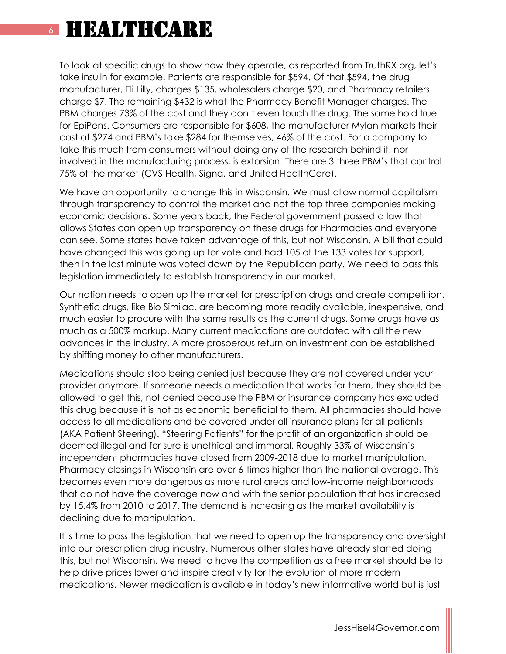### **HEALTHCARE**

To look at specific drugs to show how they operate, as reported from TruthRX.org, let's take insulin for example. Patients are responsible for \$594. Of that \$594, the drug manufacturer, Eli Lilly, charges \$135, wholesalers charge \$20, and Pharmacy retailers charge \$7. The remaining \$432 is what the Pharmacy Benefit Manager charges. The PBM charges 73% of the cost and they don't even touch the drug. The same hold true for EpiPens. Consumers are responsible for \$608, the manufacturer Mylan markets their cost at \$274 and PBM's take \$284 for themselves, 46% of the cost. For a company to take this much from consumers without doing any of the research behind it, nor involved in the manufacturing process, is extorsion. There are 3 three PBM's that control 75% of the market (CVS Health, Signa, and United HealthCare).

We have an opportunity to change this in Wisconsin. We must allow normal capitalism through transparency to control the market and not the top three companies making economic decisions. Some years back, the Federal government passed a law that allows States can open up transparency on these drugs for Pharmacies and everyone can see. Some states have taken advantage of this, but not Wisconsin. A bill that could have changed this was going up for vote and had 105 of the 133 votes for support, then in the last minute was voted down by the Republican party. We need to pass this legislation immediately to establish transparency in our market.

Our nation needs to open up the market for prescription drugs and create competition. Synthetic drugs, like Bio Similac, are becoming more readily available, inexpensive, and much easier to procure with the same results as the current drugs. Some drugs have as much as a 500% markup. Many current medications are outdated with all the new advances in the industry. A more prosperous return on investment can be established by shifting money to other manufacturers.

Medications should stop being denied just because they are not covered under your provider anymore. If someone needs a medication that works for them, they should be allowed to get this, not denied because the PBM or insurance company has excluded this drug because it is not as economic beneficial to them. All pharmacies should have access to all medications and be covered under all insurance plans for all patients (AKA Patient Steering). "Steering Patients" for the profit of an organization should be deemed illegal and for sure is unethical and immoral. Roughly 33% of Wisconsin's independent pharmacies have closed from 2009-2018 due to market manipulation. Pharmacy closings in Wisconsin are over 6-times higher than the national average. This becomes even more dangerous as more rural areas and low-income neighborhoods that do not have the coverage now and with the senior population that has increased by 15.4% from 2010 to 2017. The demand is increasing as the market availability is declining due to manipulation.

It is time to pass the legislation that we need to open up the transparency and oversight into our prescription drug industry. Numerous other states have already started doing this, but not Wisconsin. We need to have the competition as a free market should be to help drive prices lower and inspire creativity for the evolution of more modern medications. Newer medication is available in today's new informative world but is just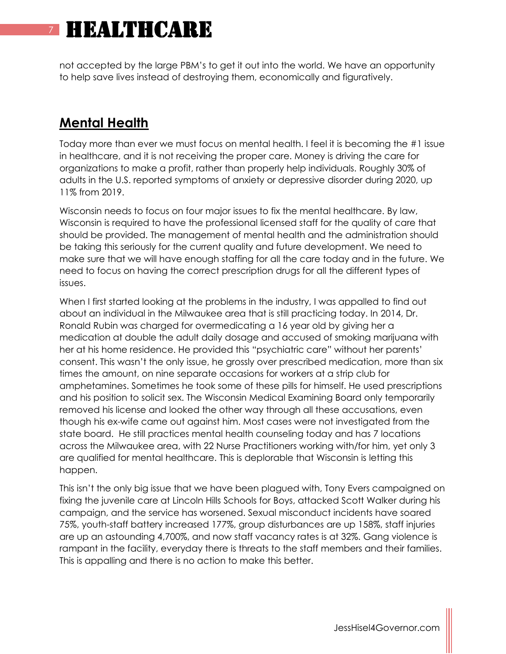not accepted by the large PBM's to get it out into the world. We have an opportunity to help save lives instead of destroying them, economically and figuratively.

### **Mental Health**

Today more than ever we must focus on mental health. I feel it is becoming the #1 issue in healthcare, and it is not receiving the proper care. Money is driving the care for organizations to make a profit, rather than properly help individuals. Roughly 30% of adults in the U.S. reported symptoms of anxiety or depressive disorder during 2020, up 11% from 2019.

Wisconsin needs to focus on four major issues to fix the mental healthcare. By law, Wisconsin is required to have the professional licensed staff for the quality of care that should be provided. The management of mental health and the administration should be taking this seriously for the current quality and future development. We need to make sure that we will have enough staffing for all the care today and in the future. We need to focus on having the correct prescription drugs for all the different types of issues.

When I first started looking at the problems in the industry, I was appalled to find out about an individual in the Milwaukee area that is still practicing today. In 2014, Dr. Ronald Rubin was charged for overmedicating a 16 year old by giving her a medication at double the adult daily dosage and accused of smoking marijuana with her at his home residence. He provided this "psychiatric care" without her parents' consent. This wasn't the only issue, he grossly over prescribed medication, more than six times the amount, on nine separate occasions for workers at a strip club for amphetamines. Sometimes he took some of these pills for himself. He used prescriptions and his position to solicit sex. The Wisconsin Medical Examining Board only temporarily removed his license and looked the other way through all these accusations, even though his ex-wife came out against him. Most cases were not investigated from the state board. He still practices mental health counseling today and has 7 locations across the Milwaukee area, with 22 Nurse Practitioners working with/for him, yet only 3 are qualified for mental healthcare. This is deplorable that Wisconsin is letting this happen.

This isn't the only big issue that we have been plagued with, Tony Evers campaigned on fixing the juvenile care at Lincoln Hills Schools for Boys, attacked Scott Walker during his campaign, and the service has worsened. Sexual misconduct incidents have soared 75%, youth-staff battery increased 177%, group disturbances are up 158%, staff injuries are up an astounding 4,700%, and now staff vacancy rates is at 32%. Gang violence is rampant in the facility, everyday there is threats to the staff members and their families. This is appalling and there is no action to make this better.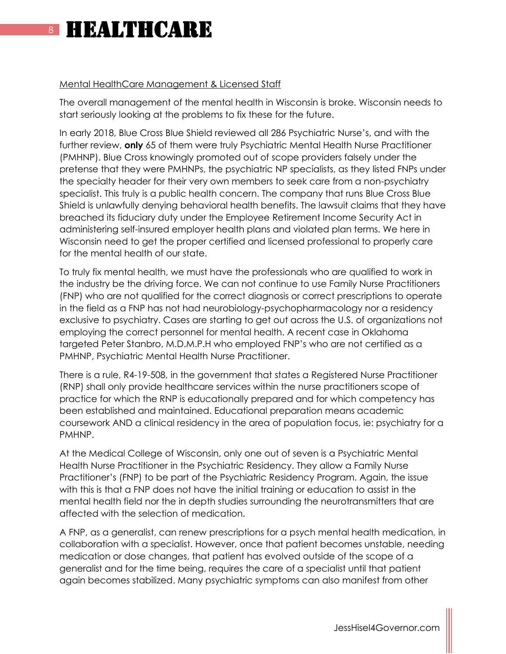#### Mental HealthCare Management & Licensed Staff

The overall management of the mental health in Wisconsin is broke. Wisconsin needs to start seriously looking at the problems to fix these for the future.

In early 2018, Blue Cross Blue Shield reviewed all 286 Psychiatric Nurse's, and with the further review, **only** 65 of them were truly Psychiatric Mental Health Nurse Practitioner (PMHNP). Blue Cross knowingly promoted out of scope providers falsely under the pretense that they were PMHNPs, the psychiatric NP specialists, as they listed FNPs under the specialty header for their very own members to seek care from a non-psychiatry specialist. This truly is a public health concern. The company that runs Blue Cross Blue Shield is unlawfully denying behavioral health benefits. The lawsuit claims that they have breached its fiduciary duty under the Employee Retirement Income Security Act in administering self-insured employer health plans and violated plan terms. We here in Wisconsin need to get the proper certified and licensed professional to properly care for the mental health of our state.

To truly fix mental health, we must have the professionals who are qualified to work in the industry be the driving force. We can not continue to use Family Nurse Practitioners (FNP) who are not qualified for the correct diagnosis or correct prescriptions to operate in the field as a FNP has not had neurobiology-psychopharmacology nor a residency exclusive to psychiatry. Cases are starting to get out across the U.S. of organizations not employing the correct personnel for mental health. A recent case in Oklahoma targeted Peter Stanbro, M.D.M.P.H who employed FNP's who are not certified as a PMHNP, Psychiatric Mental Health Nurse Practitioner.

There is a rule, R4-19-508, in the government that states a Registered Nurse Practitioner (RNP) shall only provide healthcare services within the nurse practitioners scope of practice for which the RNP is educationally prepared and for which competency has been established and maintained. Educational preparation means academic coursework AND a clinical residency in the area of population focus, ie: psychiatry for a PMHNP.

At the Medical College of Wisconsin, only one out of seven is a Psychiatric Mental Health Nurse Practitioner in the Psychiatric Residency. They allow a Family Nurse Practitioner's (FNP) to be part of the Psychiatric Residency Program. Again, the issue with this is that a FNP does not have the initial training or education to assist in the mental health field nor the in depth studies surrounding the neurotransmitters that are affected with the selection of medication.

A FNP, as a generalist, can renew prescriptions for a psych mental health medication, in collaboration with a specialist. However, once that patient becomes unstable, needing medication or dose changes, that patient has evolved outside of the scope of a generalist and for the time being, requires the care of a specialist until that patient again becomes stabilized. Many psychiatric symptoms can also manifest from other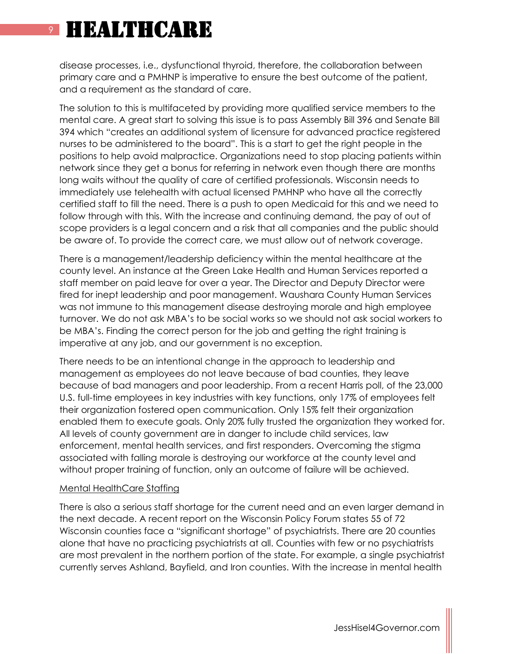disease processes, i.e., dysfunctional thyroid, therefore, the collaboration between primary care and a PMHNP is imperative to ensure the best outcome of the patient, and a requirement as the standard of care.

The solution to this is multifaceted by providing more qualified service members to the mental care. A great start to solving this issue is to pass Assembly Bill 396 and Senate Bill 394 which "creates an additional system of licensure for advanced practice registered nurses to be administered to the board". This is a start to get the right people in the positions to help avoid malpractice. Organizations need to stop placing patients within network since they get a bonus for referring in network even though there are months long waits without the quality of care of certified professionals. Wisconsin needs to immediately use telehealth with actual licensed PMHNP who have all the correctly certified staff to fill the need. There is a push to open Medicaid for this and we need to follow through with this. With the increase and continuing demand, the pay of out of scope providers is a legal concern and a risk that all companies and the public should be aware of. To provide the correct care, we must allow out of network coverage.

There is a management/leadership deficiency within the mental healthcare at the county level. An instance at the Green Lake Health and Human Services reported a staff member on paid leave for over a year. The Director and Deputy Director were fired for inept leadership and poor management. Waushara County Human Services was not immune to this management disease destroying morale and high employee turnover. We do not ask MBA's to be social works so we should not ask social workers to be MBA's. Finding the correct person for the job and getting the right training is imperative at any job, and our government is no exception.

There needs to be an intentional change in the approach to leadership and management as employees do not leave because of bad counties, they leave because of bad managers and poor leadership. From a recent Harris poll, of the 23,000 U.S. full-time employees in key industries with key functions, only 17% of employees felt their organization fostered open communication. Only 15% felt their organization enabled them to execute goals. Only 20% fully trusted the organization they worked for. All levels of county government are in danger to include child services, law enforcement, mental health services, and first responders. Overcoming the stigma associated with falling morale is destroying our workforce at the county level and without proper training of function, only an outcome of failure will be achieved.

#### Mental HealthCare Staffing

There is also a serious staff shortage for the current need and an even larger demand in the next decade. A recent report on the Wisconsin Policy Forum states 55 of 72 Wisconsin counties face a "significant shortage" of psychiatrists. There are 20 counties alone that have no practicing psychiatrists at all. Counties with few or no psychiatrists are most prevalent in the northern portion of the state. For example, a single psychiatrist currently serves Ashland, Bayfield, and Iron counties. With the increase in mental health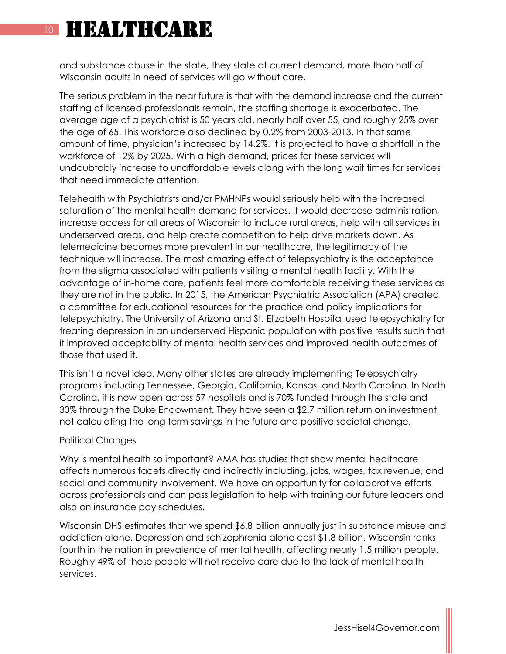and substance abuse in the state, they state at current demand, more than half of Wisconsin adults in need of services will go without care.

The serious problem in the near future is that with the demand increase and the current staffing of licensed professionals remain, the staffing shortage is exacerbated. The average age of a psychiatrist is 50 years old, nearly half over 55, and roughly 25% over the age of 65. This workforce also declined by 0.2% from 2003-2013. In that same amount of time, physician's increased by 14.2%. It is projected to have a shortfall in the workforce of 12% by 2025. With a high demand, prices for these services will undoubtably increase to unaffordable levels along with the long wait times for services that need immediate attention.

Telehealth with Psychiatrists and/or PMHNPs would seriously help with the increased saturation of the mental health demand for services. It would decrease administration, increase access for all areas of Wisconsin to include rural areas, help with all services in underserved areas, and help create competition to help drive markets down. As telemedicine becomes more prevalent in our healthcare, the legitimacy of the technique will increase. The most amazing effect of telepsychiatry is the acceptance from the stigma associated with patients visiting a mental health facility. With the advantage of in-home care, patients feel more comfortable receiving these services as they are not in the public. In 2015, the American Psychiatric Association (APA) created a committee for educational resources for the practice and policy implications for telepsychiatry. The University of Arizona and St. Elizabeth Hospital used telepsychiatry for treating depression in an underserved Hispanic population with positive results such that it improved acceptability of mental health services and improved health outcomes of those that used it.

This isn't a novel idea. Many other states are already implementing Telepsychiatry programs including Tennessee, Georgia, California, Kansas, and North Carolina. In North Carolina, it is now open across 57 hospitals and is 70% funded through the state and 30% through the Duke Endowment. They have seen a \$2.7 million return on investment, not calculating the long term savings in the future and positive societal change.

#### Political Changes

Why is mental health so important? AMA has studies that show mental healthcare affects numerous facets directly and indirectly including, jobs, wages, tax revenue, and social and community involvement. We have an opportunity for collaborative efforts across professionals and can pass legislation to help with training our future leaders and also on insurance pay schedules.

Wisconsin DHS estimates that we spend \$6.8 billion annually just in substance misuse and addiction alone. Depression and schizophrenia alone cost \$1.8 billion. Wisconsin ranks fourth in the nation in prevalence of mental health, affecting nearly 1.5 million people. Roughly 49% of those people will not receive care due to the lack of mental health services.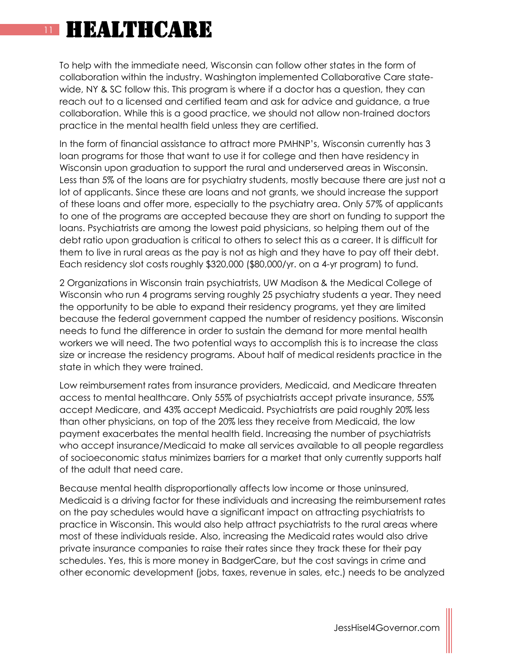To help with the immediate need, Wisconsin can follow other states in the form of collaboration within the industry. Washington implemented Collaborative Care statewide, NY & SC follow this. This program is where if a doctor has a question, they can reach out to a licensed and certified team and ask for advice and guidance, a true collaboration. While this is a good practice, we should not allow non-trained doctors practice in the mental health field unless they are certified.

In the form of financial assistance to attract more PMHNP's, Wisconsin currently has 3 loan programs for those that want to use it for college and then have residency in Wisconsin upon graduation to support the rural and underserved areas in Wisconsin. Less than 5% of the loans are for psychiatry students, mostly because there are just not a lot of applicants. Since these are loans and not grants, we should increase the support of these loans and offer more, especially to the psychiatry area. Only 57% of applicants to one of the programs are accepted because they are short on funding to support the loans. Psychiatrists are among the lowest paid physicians, so helping them out of the debt ratio upon graduation is critical to others to select this as a career. It is difficult for them to live in rural areas as the pay is not as high and they have to pay off their debt. Each residency slot costs roughly \$320,000 (\$80,000/yr. on a 4-yr program) to fund.

2 Organizations in Wisconsin train psychiatrists, UW Madison & the Medical College of Wisconsin who run 4 programs serving roughly 25 psychiatry students a year. They need the opportunity to be able to expand their residency programs, yet they are limited because the federal government capped the number of residency positions. Wisconsin needs to fund the difference in order to sustain the demand for more mental health workers we will need. The two potential ways to accomplish this is to increase the class size or increase the residency programs. About half of medical residents practice in the state in which they were trained.

Low reimbursement rates from insurance providers, Medicaid, and Medicare threaten access to mental healthcare. Only 55% of psychiatrists accept private insurance, 55% accept Medicare, and 43% accept Medicaid. Psychiatrists are paid roughly 20% less than other physicians, on top of the 20% less they receive from Medicaid, the low payment exacerbates the mental health field. Increasing the number of psychiatrists who accept insurance/Medicaid to make all services available to all people regardless of socioeconomic status minimizes barriers for a market that only currently supports half of the adult that need care.

Because mental health disproportionally affects low income or those uninsured, Medicaid is a driving factor for these individuals and increasing the reimbursement rates on the pay schedules would have a significant impact on attracting psychiatrists to practice in Wisconsin. This would also help attract psychiatrists to the rural areas where most of these individuals reside. Also, increasing the Medicaid rates would also drive private insurance companies to raise their rates since they track these for their pay schedules. Yes, this is more money in BadgerCare, but the cost savings in crime and other economic development (jobs, taxes, revenue in sales, etc.) needs to be analyzed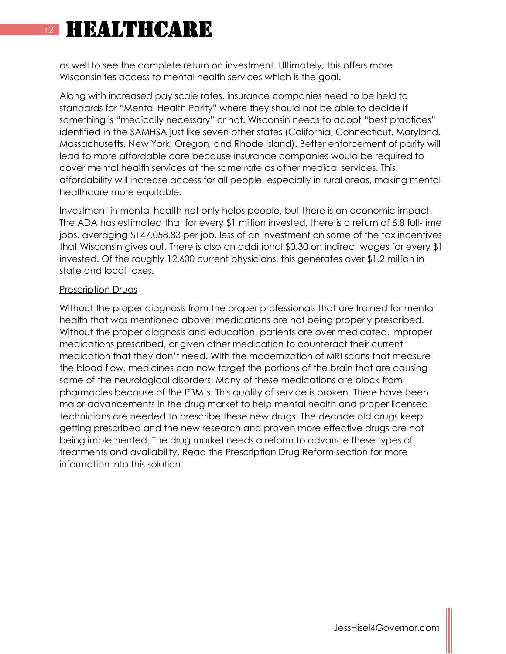as well to see the complete return on investment. Ultimately, this offers more Wisconsinites access to mental health services which is the goal.

Along with increased pay scale rates, insurance companies need to be held to standards for "Mental Health Parity" where they should not be able to decide if something is "medically necessary" or not. Wisconsin needs to adopt "best practices" identified in the SAMHSA just like seven other states (California, Connecticut, Maryland, Massachusetts, New York, Oregon, and Rhode Island). Better enforcement of parity will lead to more affordable care because insurance companies would be required to cover mental health services at the same rate as other medical services. This affordability will increase access for all people, especially in rural areas, making mental healthcare more equitable.

Investment in mental health not only helps people, but there is an economic impact. The ADA has estimated that for every \$1 million invested, there is a return of 6.8 full-time jobs, averaging \$147,058.83 per job, less of an investment on some of the tax incentives that Wisconsin gives out. There is also an additional \$0.30 on indirect wages for every \$1 invested. Of the roughly 12,600 current physicians, this generates over \$1.2 million in state and local taxes.

#### Prescription Drugs

Without the proper diagnosis from the proper professionals that are trained for mental health that was mentioned above, medications are not being properly prescribed. Without the proper diagnosis and education, patients are over medicated, improper medications prescribed, or given other medication to counteract their current medication that they don't need. With the modernization of MRI scans that measure the blood flow, medicines can now target the portions of the brain that are causing some of the neurological disorders. Many of these medications are block from pharmacies because of the PBM's. This quality of service is broken. There have been major advancements in the drug market to help mental health and proper licensed technicians are needed to prescribe these new drugs. The decade old drugs keep getting prescribed and the new research and proven more effective drugs are not being implemented. The drug market needs a reform to advance these types of treatments and availability. Read the Prescription Drug Reform section for more information into this solution.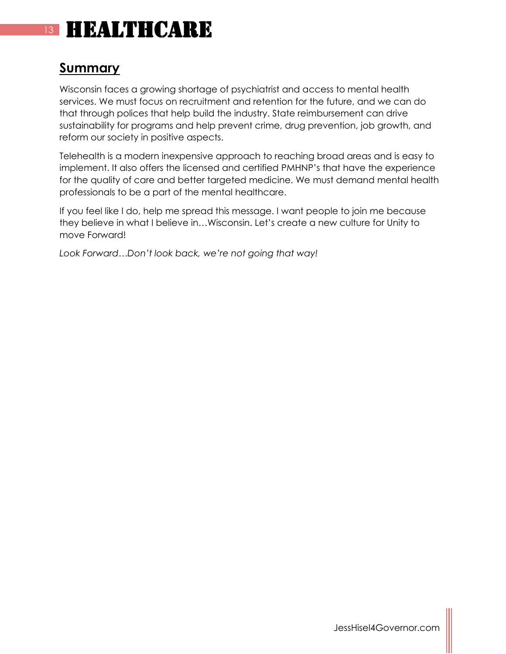### **Summary**

Wisconsin faces a growing shortage of psychiatrist and access to mental health services. We must focus on recruitment and retention for the future, and we can do that through polices that help build the industry. State reimbursement can drive sustainability for programs and help prevent crime, drug prevention, job growth, and reform our society in positive aspects.

Telehealth is a modern inexpensive approach to reaching broad areas and is easy to implement. It also offers the licensed and certified PMHNP's that have the experience for the quality of care and better targeted medicine. We must demand mental health professionals to be a part of the mental healthcare.

If you feel like I do, help me spread this message. I want people to join me because they believe in what I believe in…Wisconsin. Let's create a new culture for Unity to move Forward!

*Look Forward…Don't look back, we're not going that way!*